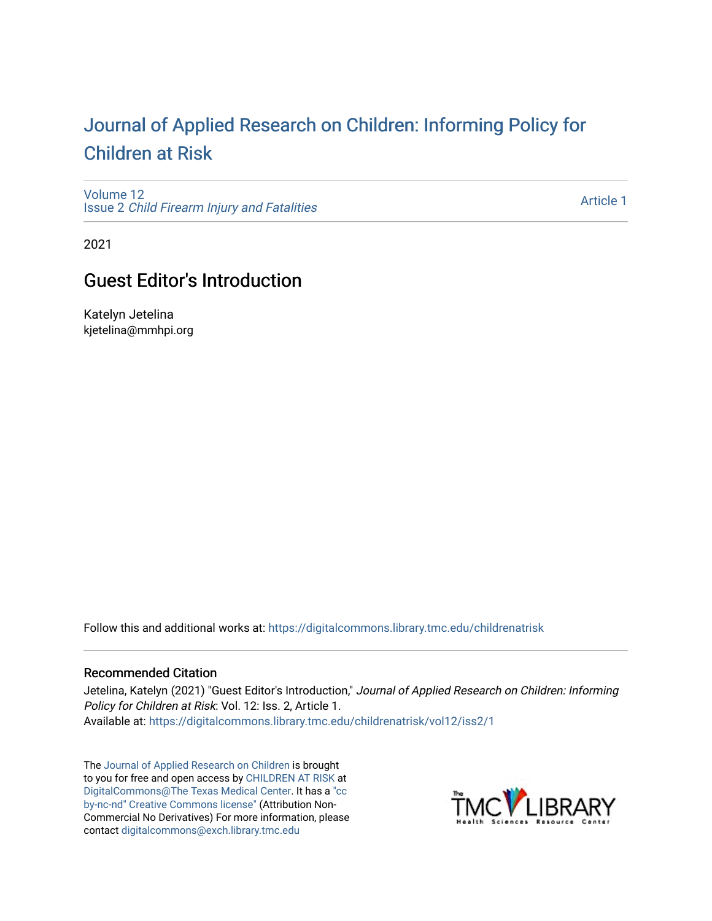## [Journal of Applied Research on Children: Informing Policy for](https://digitalcommons.library.tmc.edu/childrenatrisk) [Children at Risk](https://digitalcommons.library.tmc.edu/childrenatrisk)

[Volume 12](https://digitalcommons.library.tmc.edu/childrenatrisk/vol12) Issue 2 [Child Firearm Injury and Fatalities](https://digitalcommons.library.tmc.edu/childrenatrisk/vol12/iss2) 

[Article 1](https://digitalcommons.library.tmc.edu/childrenatrisk/vol12/iss2/1) 

2021

## **Guest Editor's Introduction**

Katelyn Jetelina kjetelina@mmhpi.org

Follow this and additional works at: [https://digitalcommons.library.tmc.edu/childrenatrisk](https://digitalcommons.library.tmc.edu/childrenatrisk?utm_source=digitalcommons.library.tmc.edu%2Fchildrenatrisk%2Fvol12%2Fiss2%2F1&utm_medium=PDF&utm_campaign=PDFCoverPages) 

## Recommended Citation

Jetelina, Katelyn (2021) "Guest Editor's Introduction," Journal of Applied Research on Children: Informing Policy for Children at Risk: Vol. 12: Iss. 2, Article 1. Available at: [https://digitalcommons.library.tmc.edu/childrenatrisk/vol12/iss2/1](https://digitalcommons.library.tmc.edu/childrenatrisk/vol12/iss2/1?utm_source=digitalcommons.library.tmc.edu%2Fchildrenatrisk%2Fvol12%2Fiss2%2F1&utm_medium=PDF&utm_campaign=PDFCoverPages) 

The [Journal of Applied Research on Children](http://digitalcommons.library.tmc.edu/childrenatrisk) is brought to you for free and open access by [CHILDREN AT RISK](http://childrenatrisk.org/) at [DigitalCommons@The Texas Medical Center](http://digitalcommons.library.tmc.edu/). It has a ["cc](http://creativecommons.org/licenses/by-nc-nd/3.0/)  [by-nc-nd" Creative Commons license"](http://creativecommons.org/licenses/by-nc-nd/3.0/) (Attribution Non-Commercial No Derivatives) For more information, please contact [digitalcommons@exch.library.tmc.edu](mailto:digitalcommons@exch.library.tmc.edu) 

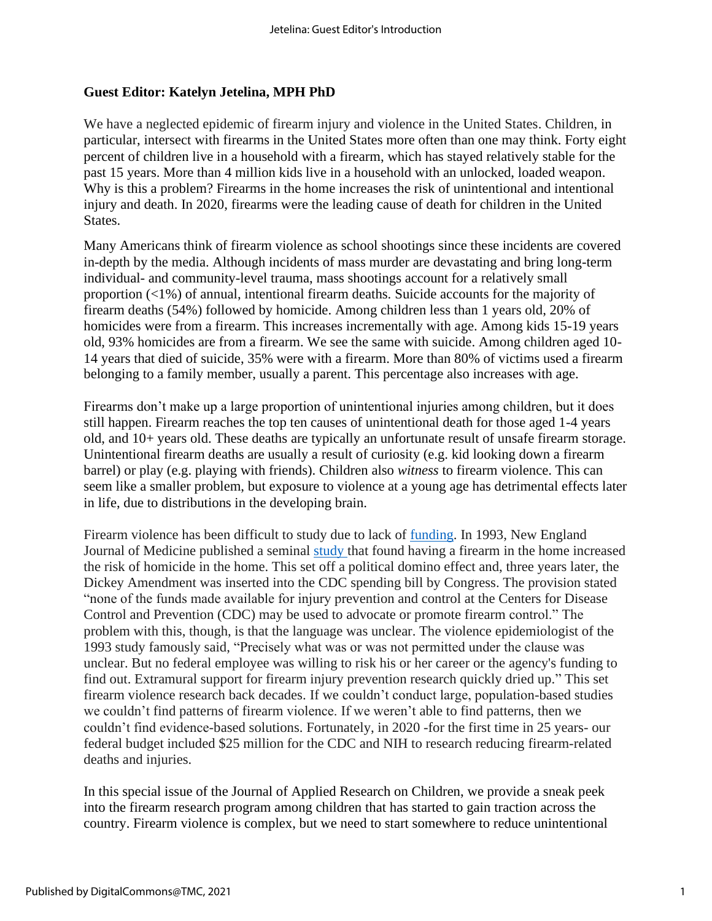## **Guest Editor: Katelyn Jetelina, MPH PhD**

We have a neglected epidemic of firearm injury and violence in the United States. Children, in particular, intersect with firearms in the United States more often than one may think. Forty eight percent of children live in a household with a firearm, which has stayed relatively stable for the past 15 years. More than 4 million kids live in a household with an unlocked, loaded weapon. Why is this a problem? Firearms in the home increases the risk of unintentional and intentional injury and death. In 2020, firearms were the leading cause of death for children in the United States.

Many Americans think of firearm violence as school shootings since these incidents are covered in-depth by the media. Although incidents of mass murder are devastating and bring long-term individual- and community-level trauma, mass shootings account for a relatively small proportion (<1%) of annual, intentional firearm deaths. Suicide accounts for the majority of firearm deaths (54%) followed by homicide. Among children less than 1 years old, 20% of homicides were from a firearm. This increases incrementally with age. Among kids 15-19 years old, 93% homicides are from a firearm. We see the same with suicide. Among children aged 10- 14 years that died of suicide, 35% were with a firearm. More than 80% of victims used a firearm belonging to a family member, usually a parent. This percentage also increases with age.

Firearms don't make up a large proportion of unintentional injuries among children, but it does still happen. Firearm reaches the top ten causes of unintentional death for those aged 1-4 years old, and 10+ years old. These deaths are typically an unfortunate result of unsafe firearm storage. Unintentional firearm deaths are usually a result of curiosity (e.g. kid looking down a firearm barrel) or play (e.g. playing with friends). Children also *witness* to firearm violence. This can seem like a smaller problem, but exposure to violence at a young age has detrimental effects later in life, due to distributions in the developing brain.

Firearm violence has been difficult to study due to lack of [funding.](https://www.apa.org/science/about/psa/2013/02/gun-violence) In 1993, New England Journal of Medicine published a seminal [study](https://www.nejm.org/doi/full/10.1056/NEJM199310073291506) that found having a firearm in the home increased the risk of homicide in the home. This set off a political domino effect and, three years later, the Dickey Amendment was inserted into the CDC spending bill by Congress. The provision stated "none of the funds made available for injury prevention and control at the Centers for Disease Control and Prevention (CDC) may be used to advocate or promote firearm control." The problem with this, though, is that the language was unclear. The violence epidemiologist of the 1993 study famously said, "Precisely what was or was not permitted under the clause was unclear. But no federal employee was willing to risk his or her career or the agency's funding to find out. Extramural support for firearm injury prevention research quickly dried up." This set firearm violence research back decades. If we couldn't conduct large, population-based studies we couldn't find patterns of firearm violence. If we weren't able to find patterns, then we couldn't find evidence-based solutions. Fortunately, in 2020 -for the first time in 25 years- our federal budget included \$25 million for the CDC and NIH to research reducing firearm-related deaths and injuries.

In this special issue of the Journal of Applied Research on Children, we provide a sneak peek into the firearm research program among children that has started to gain traction across the country. Firearm violence is complex, but we need to start somewhere to reduce unintentional